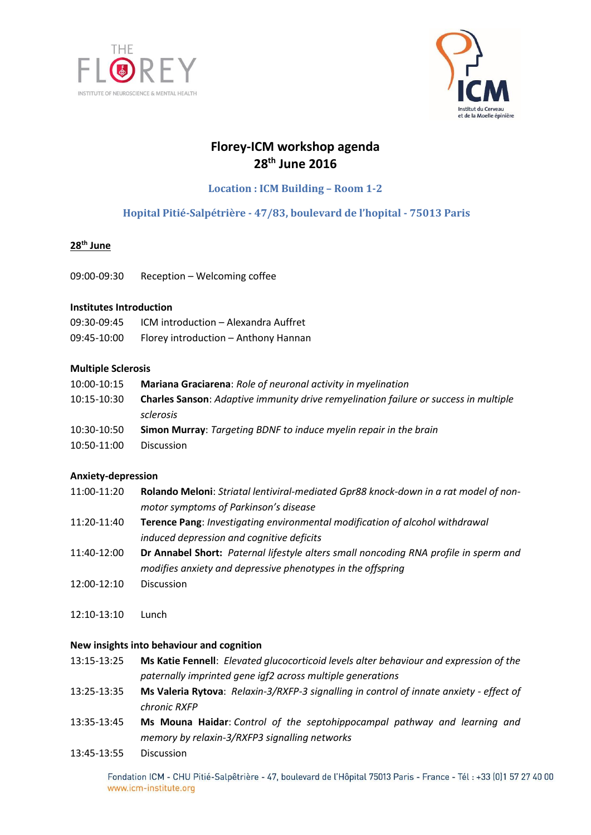



# **Florey-ICM workshop agenda 28th June 2016**

**Location : ICM Building – Room 1-2**

# **Hopital Pitié-Salpétrière - 47/83, boulevard de l'hopital - 75013 Paris**

## **28th June**

09:00-09:30 Reception – Welcoming coffee

## **Institutes Introduction**

| 09:30-09:45 | ICM introduction - Alexandra Auffret |
|-------------|--------------------------------------|
| 09:45-10:00 | Florey introduction - Anthony Hannan |

## **Multiple Sclerosis**

| 10:00-10:15 | <b>Mariana Graciarena:</b> Role of neuronal activity in myelination                         |
|-------------|---------------------------------------------------------------------------------------------|
| 10:15-10:30 | <b>Charles Sanson:</b> Adaptive immunity drive remyelination failure or success in multiple |
|             | sclerosis                                                                                   |
| 10:30-10:50 | <b>Simon Murray:</b> Targeting BDNF to induce myelin repair in the brain                    |
| 10:50-11:00 | <b>Discussion</b>                                                                           |

## **Anxiety-depression**

- 11:00-11:20 **Rolando Meloni**: *Striatal lentiviral-mediated Gpr88 knock-down in a rat model of nonmotor symptoms of Parkinson's disease*
- 11:20-11:40 **Terence Pang**: *Investigating environmental modification of alcohol withdrawal induced depression and cognitive deficits*
- 11:40-12:00 **Dr Annabel Short:** *Paternal lifestyle alters small noncoding RNA profile in sperm and modifies anxiety and depressive phenotypes in the offspring*
- 12:00-12:10 Discussion
- 12:10-13:10 Lunch

## **New insights into behaviour and cognition**

13:15-13:25 **Ms Katie Fennell**: *Elevated glucocorticoid levels alter behaviour and expression of the paternally imprinted gene igf2 across multiple generations*

- 13:25-13:35 **Ms Valeria Rytova**: *Relaxin-3/RXFP-3 signalling in control of innate anxiety - effect of chronic RXFP*
- 13:35-13:45 **Ms Mouna Haidar**: *Control of the septohippocampal pathway and learning and memory by relaxin-3/RXFP3 signalling networks*
- 13:45-13:55 Discussion

Fondation ICM - CHU Pitié-Salpêtrière - 47, boulevard de l'Hôpital 75013 Paris - France - Tél: +33 (0)1 57 27 40 00 www.icm-institute.org